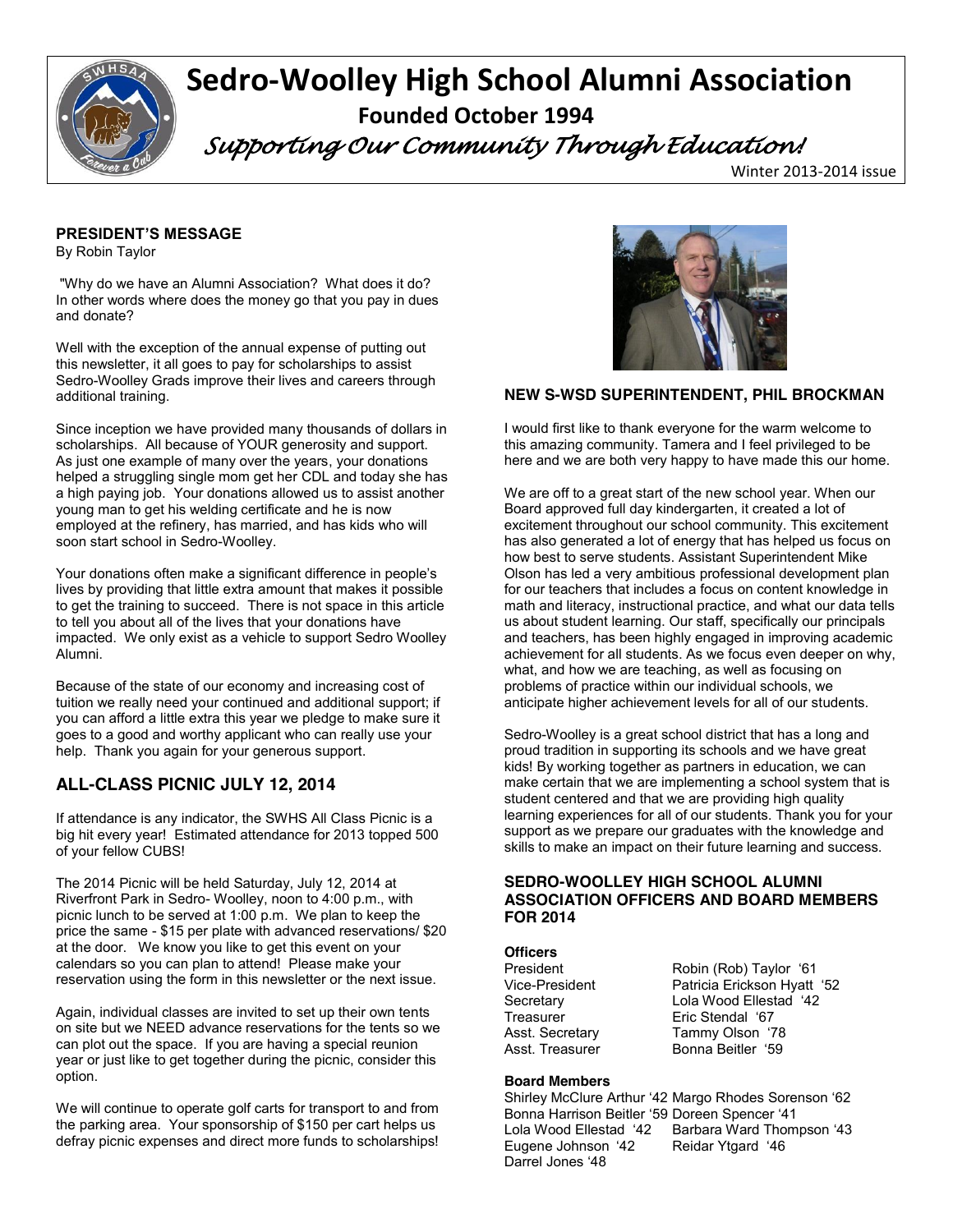

# **Sedro-Woolley High School Alumni Association Founded October 1994**

 *Supporting Our Community Through Education!* 

Winter 2013-2014 issue

### **PRESIDENT'S MESSAGE**

By Robin Taylor

"Why do we have an Alumni Association? What does it do? In other words where does the money go that you pay in dues and donate?

Well with the exception of the annual expense of putting out this newsletter, it all goes to pay for scholarships to assist Sedro-Woolley Grads improve their lives and careers through additional training.

Since inception we have provided many thousands of dollars in scholarships. All because of YOUR generosity and support. As just one example of many over the years, your donations helped a struggling single mom get her CDL and today she has a high paying job. Your donations allowed us to assist another young man to get his welding certificate and he is now employed at the refinery, has married, and has kids who will soon start school in Sedro-Woolley.

Your donations often make a significant difference in people's lives by providing that little extra amount that makes it possible to get the training to succeed. There is not space in this article to tell you about all of the lives that your donations have impacted. We only exist as a vehicle to support Sedro Woolley Alumni.

Because of the state of our economy and increasing cost of tuition we really need your continued and additional support; if you can afford a little extra this year we pledge to make sure it goes to a good and worthy applicant who can really use your help. Thank you again for your generous support.

# **ALL-CLASS PICNIC JULY 12, 2014**

If attendance is any indicator, the SWHS All Class Picnic is a big hit every year! Estimated attendance for 2013 topped 500 of your fellow CUBS!

The 2014 Picnic will be held Saturday, July 12, 2014 at Riverfront Park in Sedro- Woolley, noon to 4:00 p.m., with picnic lunch to be served at 1:00 p.m. We plan to keep the price the same - \$15 per plate with advanced reservations/ \$20 at the door. We know you like to get this event on your calendars so you can plan to attend! Please make your reservation using the form in this newsletter or the next issue.

Again, individual classes are invited to set up their own tents on site but we NEED advance reservations for the tents so we can plot out the space. If you are having a special reunion year or just like to get together during the picnic, consider this option.

We will continue to operate golf carts for transport to and from the parking area. Your sponsorship of \$150 per cart helps us defray picnic expenses and direct more funds to scholarships!



# **NEW S-WSD SUPERINTENDENT, PHIL BROCKMAN**

I would first like to thank everyone for the warm welcome to this amazing community. Tamera and I feel privileged to be here and we are both very happy to have made this our home.

We are off to a great start of the new school year. When our Board approved full day kindergarten, it created a lot of excitement throughout our school community. This excitement has also generated a lot of energy that has helped us focus on how best to serve students. Assistant Superintendent Mike Olson has led a very ambitious professional development plan for our teachers that includes a focus on content knowledge in math and literacy, instructional practice, and what our data tells us about student learning. Our staff, specifically our principals and teachers, has been highly engaged in improving academic achievement for all students. As we focus even deeper on why, what, and how we are teaching, as well as focusing on problems of practice within our individual schools, we anticipate higher achievement levels for all of our students.

Sedro-Woolley is a great school district that has a long and proud tradition in supporting its schools and we have great kids! By working together as partners in education, we can make certain that we are implementing a school system that is student centered and that we are providing high quality learning experiences for all of our students. Thank you for your support as we prepare our graduates with the knowledge and skills to make an impact on their future learning and success.

### **SEDRO-WOOLLEY HIGH SCHOOL ALUMNI ASSOCIATION OFFICERS AND BOARD MEMBERS FOR 2014**

### **Officers**

President Robin (Rob) Taylor '61 Vice-President Patricia Erickson Hyatt '52 Secretary **Lola Wood Ellestad** '42 Treasurer Eric Stendal '67 Asst. Secretary Tammy Olson '78 Asst. Treasurer **Bonna Beitler** '59

#### **Board Members**

Shirley McClure Arthur '42 Margo Rhodes Sorenson '62 Bonna Harrison Beitler '59 Doreen Spencer '41 Lola Wood Ellestad '42 Barbara Ward Thompson '43 Eugene Johnson '42 Reidar Ytgard '46 Darrel Jones '48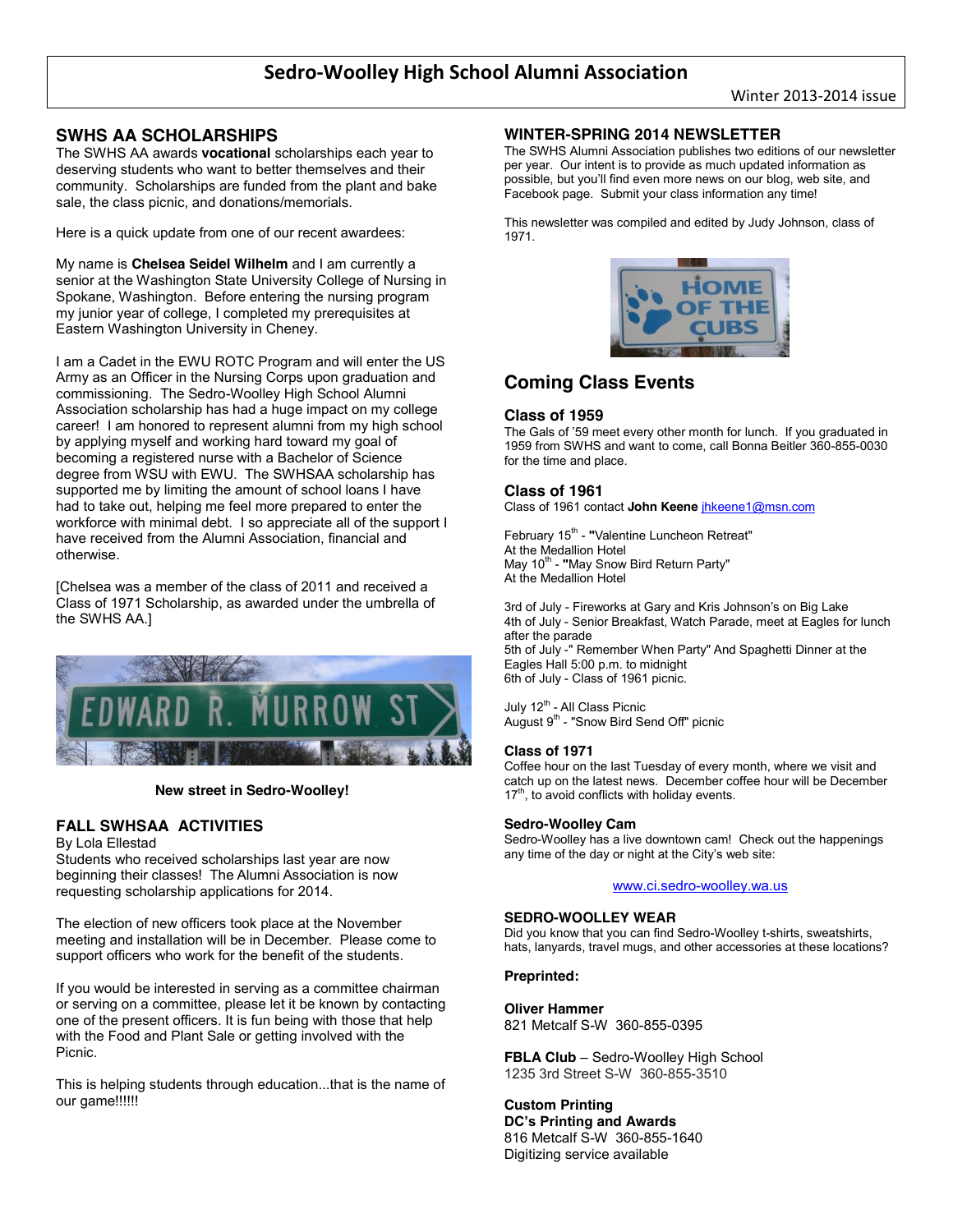# **SWHS AA SCHOLARSHIPS**

The SWHS AA awards **vocational** scholarships each year to deserving students who want to better themselves and their community. Scholarships are funded from the plant and bake sale, the class picnic, and donations/memorials.

Here is a quick update from one of our recent awardees:

My name is **Chelsea Seidel Wilhelm** and I am currently a senior at the Washington State University College of Nursing in Spokane, Washington. Before entering the nursing program my junior year of college, I completed my prerequisites at Eastern Washington University in Cheney.

I am a Cadet in the EWU ROTC Program and will enter the US Army as an Officer in the Nursing Corps upon graduation and commissioning. The Sedro-Woolley High School Alumni Association scholarship has had a huge impact on my college career! I am honored to represent alumni from my high school by applying myself and working hard toward my goal of becoming a registered nurse with a Bachelor of Science degree from WSU with EWU. The SWHSAA scholarship has supported me by limiting the amount of school loans I have had to take out, helping me feel more prepared to enter the workforce with minimal debt. I so appreciate all of the support I have received from the Alumni Association, financial and otherwise.

[Chelsea was a member of the class of 2011 and received a Class of 1971 Scholarship, as awarded under the umbrella of the SWHS AA.]



#### **New street in Sedro-Woolley!**

### **FALL SWHSAA ACTIVITIES**

#### By Lola Ellestad

Students who received scholarships last year are now beginning their classes! The Alumni Association is now requesting scholarship applications for 2014.

The election of new officers took place at the November meeting and installation will be in December. Please come to support officers who work for the benefit of the students.

If you would be interested in serving as a committee chairman or serving on a committee, please let it be known by contacting one of the present officers. It is fun being with those that help with the Food and Plant Sale or getting involved with the Picnic.

This is helping students through education...that is the name of our game!!!!!!

#### **WINTER-SPRING 2014 NEWSLETTER**

The SWHS Alumni Association publishes two editions of our newsletter per year. Our intent is to provide as much updated information as possible, but you'll find even more news on our blog, web site, and Facebook page. Submit your class information any time!

This newsletter was compiled and edited by Judy Johnson, class of 1971.



# **Coming Class Events**

#### **Class of 1959**

The Gals of '59 meet every other month for lunch. If you graduated in 1959 from SWHS and want to come, call Bonna Beitler 360-855-0030 for the time and place.

#### **Class of 1961**

Class of 1961 contact **John Keene** jhkeene1@msn.com

February 15<sup>th</sup> - "Valentine Luncheon Retreat" At the Medallion Hotel May 10<sup>th</sup> - "May Snow Bird Return Party" At the Medallion Hotel

3rd of July - Fireworks at Gary and Kris Johnson's on Big Lake 4th of July - Senior Breakfast, Watch Parade, meet at Eagles for lunch after the parade 5th of July -" Remember When Party" And Spaghetti Dinner at the Eagles Hall 5:00 p.m. to midnight 6th of July - Class of 1961 picnic.

July 12<sup>th</sup> - All Class Picnic August  $9<sup>th</sup>$  - "Snow Bird Send Off" picnic

#### **Class of 1971**

Coffee hour on the last Tuesday of every month, where we visit and catch up on the latest news. December coffee hour will be December 17<sup>th</sup>, to avoid conflicts with holiday events.

#### **Sedro-Woolley Cam**

Sedro-Woolley has a live downtown cam! Check out the happenings any time of the day or night at the City's web site:

www.ci.sedro-woolley.wa.us

#### **SEDRO-WOOLLEY WEAR**

Did you know that you can find Sedro-Woolley t-shirts, sweatshirts, hats, lanyards, travel mugs, and other accessories at these locations?

#### **Preprinted:**

**Oliver Hammer** 821 Metcalf S-W 360-855-0395

**FBLA Club** – Sedro-Woolley High School 1235 3rd Street S-W 360-855-3510

### **Custom Printing**

**DC's Printing and Awards**  816 Metcalf S-W 360-855-1640 Digitizing service available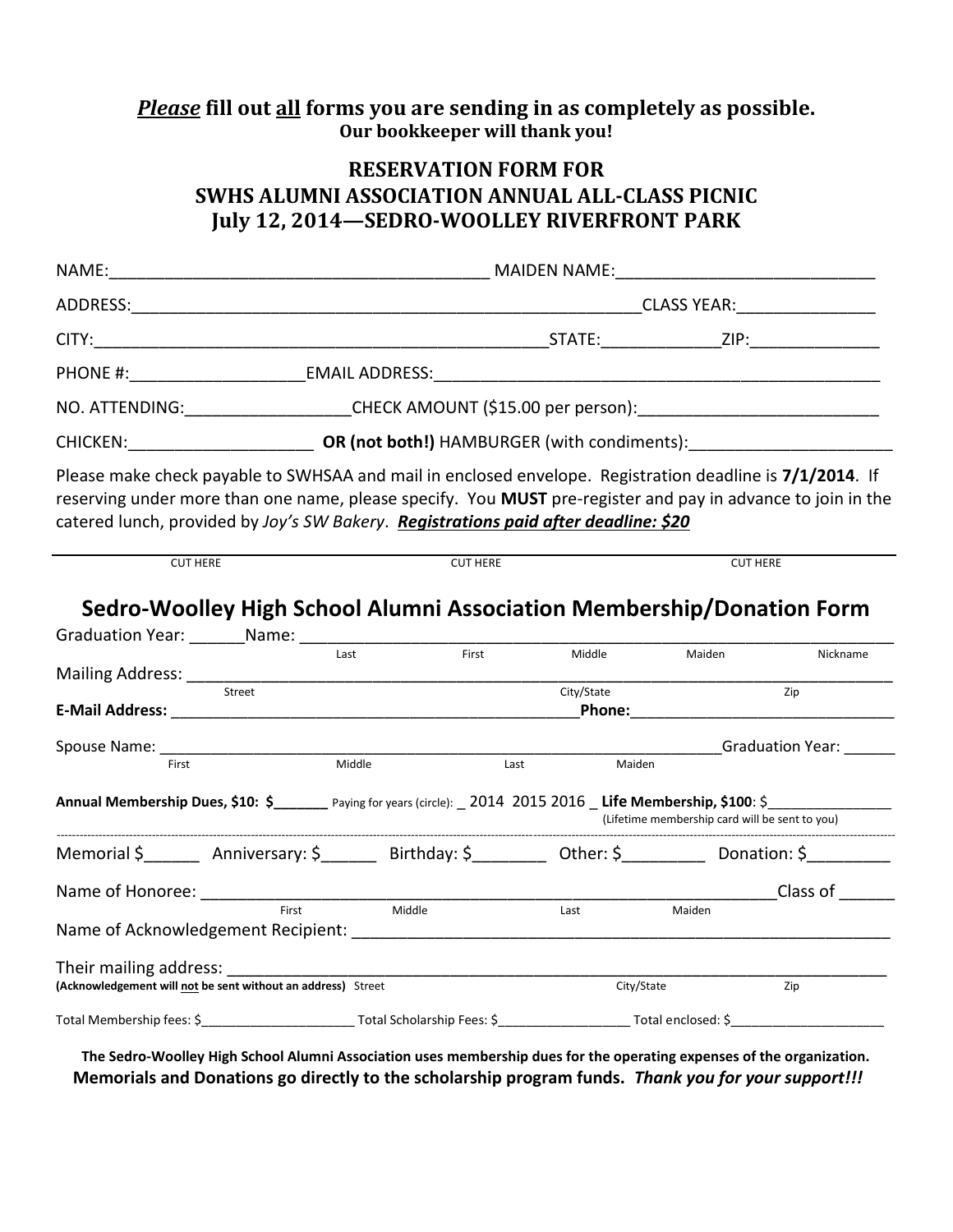# *Please* **fill out all forms you are sending in as completely as possible. Our bookkeeper will thank you!**

# **RESERVATION FORM FOR SWHS ALUMNI ASSOCIATION ANNUAL ALL-CLASS PICNIC July 12, 2014—SEDRO-WOOLLEY RIVERFRONT PARK**

| NO. ATTENDING:____________________CHECK AMOUNT (\$15.00 per person):________________________________                                                                                                                                                                                                           |                 |       |            |                                                                                                               |                  |  |  |
|----------------------------------------------------------------------------------------------------------------------------------------------------------------------------------------------------------------------------------------------------------------------------------------------------------------|-----------------|-------|------------|---------------------------------------------------------------------------------------------------------------|------------------|--|--|
| CHICKEN: CHICKEN: OR (not both!) HAMBURGER (with condiments):                                                                                                                                                                                                                                                  |                 |       |            |                                                                                                               |                  |  |  |
| Please make check payable to SWHSAA and mail in enclosed envelope. Registration deadline is 7/1/2014. If<br>reserving under more than one name, please specify. You MUST pre-register and pay in advance to join in the<br>catered lunch, provided by Joy's SW Bakery. Registrations paid after deadline: \$20 |                 |       |            |                                                                                                               |                  |  |  |
| <b>CUT HERE</b>                                                                                                                                                                                                                                                                                                | <b>CUT HERE</b> |       |            | <b>CUT HERE</b>                                                                                               |                  |  |  |
| Sedro-Woolley High School Alumni Association Membership/Donation Form                                                                                                                                                                                                                                          |                 |       |            |                                                                                                               |                  |  |  |
|                                                                                                                                                                                                                                                                                                                | Last            | First | Middle     | Maiden                                                                                                        | Nickname         |  |  |
| Street                                                                                                                                                                                                                                                                                                         |                 |       | City/State | Phone: All and the state of the state of the state of the state of the state of the state of the state of the | Zip              |  |  |
| Spouse Name: ____                                                                                                                                                                                                                                                                                              |                 |       |            |                                                                                                               | Graduation Year: |  |  |
| First                                                                                                                                                                                                                                                                                                          | Middle          | Last  | Maiden     |                                                                                                               |                  |  |  |
| Annual Membership Dues, \$10: \$______ Paying for years (circle): _2014 2015 2016 _Life Membership, \$100: \$______________________________<br>(Lifetime membership card will be sent to you)                                                                                                                  |                 |       |            |                                                                                                               |                  |  |  |
| Memorial \$ ________ Anniversary: \$ ________ Birthday: \$ _________ Other: \$ _________ Donation: \$ _________                                                                                                                                                                                                |                 |       |            |                                                                                                               |                  |  |  |
|                                                                                                                                                                                                                                                                                                                |                 |       |            |                                                                                                               | Class of         |  |  |
|                                                                                                                                                                                                                                                                                                                | Middle<br>First |       | Last       | Maiden                                                                                                        |                  |  |  |
| (Acknowledgement will not be sent without an address) Street                                                                                                                                                                                                                                                   |                 |       | City/State |                                                                                                               | Zip              |  |  |
|                                                                                                                                                                                                                                                                                                                |                 |       |            |                                                                                                               |                  |  |  |

**The Sedro-Woolley High School Alumni Association uses membership dues for the operating expenses of the organization. Memorials and Donations go directly to the scholarship program funds.** *Thank you for your support!!!*